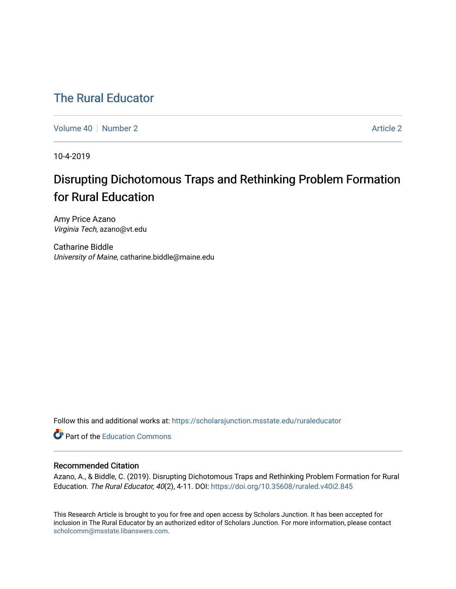# [The Rural Educator](https://scholarsjunction.msstate.edu/ruraleducator)

[Volume 40](https://scholarsjunction.msstate.edu/ruraleducator/vol40) [Number 2](https://scholarsjunction.msstate.edu/ruraleducator/vol40/iss2) Article 2

10-4-2019

# Disrupting Dichotomous Traps and Rethinking Problem Formation for Rural Education

Amy Price Azano Virginia Tech, azano@vt.edu

Catharine Biddle University of Maine, catharine.biddle@maine.edu

Follow this and additional works at: [https://scholarsjunction.msstate.edu/ruraleducator](https://scholarsjunction.msstate.edu/ruraleducator?utm_source=scholarsjunction.msstate.edu%2Fruraleducator%2Fvol40%2Fiss2%2F2&utm_medium=PDF&utm_campaign=PDFCoverPages)

**C** Part of the [Education Commons](http://network.bepress.com/hgg/discipline/784?utm_source=scholarsjunction.msstate.edu%2Fruraleducator%2Fvol40%2Fiss2%2F2&utm_medium=PDF&utm_campaign=PDFCoverPages)

# Recommended Citation

Azano, A., & Biddle, C. (2019). Disrupting Dichotomous Traps and Rethinking Problem Formation for Rural Education. The Rural Educator, 40(2), 4-11. DOI:<https://doi.org/10.35608/ruraled.v40i2.845>

This Research Article is brought to you for free and open access by Scholars Junction. It has been accepted for inclusion in The Rural Educator by an authorized editor of Scholars Junction. For more information, please contact [scholcomm@msstate.libanswers.com.](mailto:scholcomm@msstate.libanswers.com)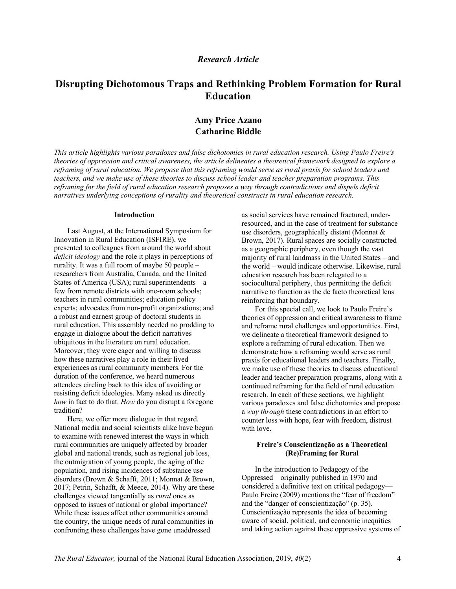## *Research Article*

# **Disrupting Dichotomous Traps and Rethinking Problem Formation for Rural Education**

# **Amy Price Azano Catharine Biddle**

*This article highlights various paradoxes and false dichotomies in rural education research. Using Paulo Freire's theories of oppression and critical awareness, the article delineates a theoretical framework designed to explore a reframing of rural education. We propose that this reframing would serve as rural praxis for school leaders and teachers, and we make use of these theories to discuss school leader and teacher preparation programs. This reframing for the field of rural education research proposes a way through contradictions and dispels deficit narratives underlying conceptions of rurality and theoretical constructs in rural education research.*

#### **Introduction**

Last August, at the International Symposium for Innovation in Rural Education (ISFIRE), we presented to colleagues from around the world about *deficit ideology* and the role it plays in perceptions of rurality. It was a full room of maybe 50 people – researchers from Australia, Canada, and the United States of America (USA); rural superintendents  $-$  a few from remote districts with one-room schools; teachers in rural communities; education policy experts; advocates from non-profit organizations; and a robust and earnest group of doctoral students in rural education. This assembly needed no prodding to engage in dialogue about the deficit narratives ubiquitous in the literature on rural education. Moreover, they were eager and willing to discuss how these narratives play a role in their lived experiences as rural community members. For the duration of the conference, we heard numerous attendees circling back to this idea of avoiding or resisting deficit ideologies. Many asked us directly *how* in fact to do that. *How* do you disrupt a foregone tradition?

Here, we offer more dialogue in that regard. National media and social scientists alike have begun to examine with renewed interest the ways in which rural communities are uniquely affected by broader global and national trends, such as regional job loss, the outmigration of young people, the aging of the population, and rising incidences of substance use disorders (Brown & Schafft, 2011; Monnat & Brown, 2017; Petrin, Schafft, & Meece, 2014). Why are these challenges viewed tangentially as *rural* ones as opposed to issues of national or global importance? While these issues affect other communities around the country, the unique needs of rural communities in confronting these challenges have gone unaddressed

as social services have remained fractured, underresourced, and in the case of treatment for substance use disorders, geographically distant (Monnat & Brown, 2017). Rural spaces are socially constructed as a geographic periphery, even though the vast majority of rural landmass in the United States – and the world – would indicate otherwise. Likewise, rural education research has been relegated to a sociocultural periphery, thus permitting the deficit narrative to function as the de facto theoretical lens reinforcing that boundary.

For this special call, we look to Paulo Freire's theories of oppression and critical awareness to frame and reframe rural challenges and opportunities. First, we delineate a theoretical framework designed to explore a reframing of rural education. Then we demonstrate how a reframing would serve as rural praxis for educational leaders and teachers. Finally, we make use of these theories to discuss educational leader and teacher preparation programs, along with a continued reframing for the field of rural education research. In each of these sections, we highlight various paradoxes and false dichotomies and propose a *way through* these contradictions in an effort to counter loss with hope, fear with freedom, distrust with love.

#### **Freire's Conscientização as a Theoretical (Re)Framing for Rural**

In the introduction to Pedagogy of the Oppressed—originally published in 1970 and considered a definitive text on critical pedagogy— Paulo Freire (2009) mentions the "fear of freedom" and the "danger of conscientização" (p. 35). Conscientização represents the idea of becoming aware of social, political, and economic inequities and taking action against these oppressive systems of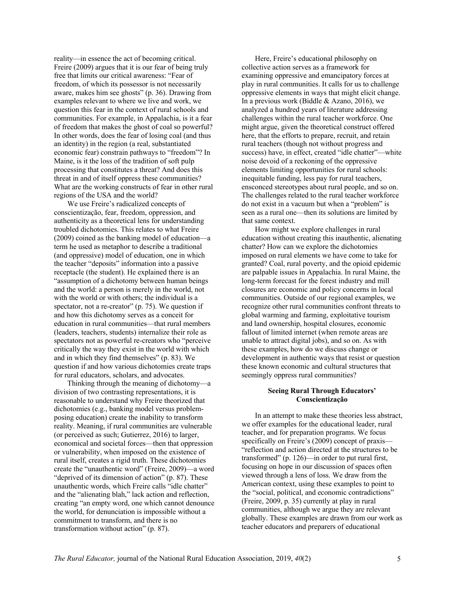reality—in essence the act of becoming critical. Freire (2009) argues that it is our fear of being truly free that limits our critical awareness: "Fear of freedom, of which its possessor is not necessarily aware, makes him see ghosts" (p. 36). Drawing from examples relevant to where we live and work, we question this fear in the context of rural schools and communities. For example, in Appalachia, is it a fear of freedom that makes the ghost of coal so powerful? In other words, does the fear of losing coal (and thus an identity) in the region (a real, substantiated economic fear) constrain pathways to "freedom"? In Maine, is it the loss of the tradition of soft pulp processing that constitutes a threat? And does this threat in and of itself oppress these communities? What are the working constructs of fear in other rural regions of the USA and the world?

We use Freire's radicalized concepts of conscientização, fear, freedom, oppression, and authenticity as a theoretical lens for understanding troubled dichotomies. This relates to what Freire (2009) coined as the banking model of education—a term he used as metaphor to describe a traditional (and oppressive) model of education, one in which the teacher "deposits" information into a passive receptacle (the student). He explained there is an "assumption of a dichotomy between human beings and the world: a person is merely in the world, not with the world or with others; the individual is a spectator, not a re-creator" (p. 75). We question if and how this dichotomy serves as a conceit for education in rural communities—that rural members (leaders, teachers, students) internalize their role as spectators not as powerful re-creators who "perceive critically the way they exist in the world with which and in which they find themselves" (p. 83). We question if and how various dichotomies create traps for rural educators, scholars, and advocates.

Thinking through the meaning of dichotomy—a division of two contrasting representations, it is reasonable to understand why Freire theorized that dichotomies (e.g., banking model versus problemposing education) create the inability to transform reality. Meaning, if rural communities are vulnerable (or perceived as such; Gutierrez, 2016) to larger, economical and societal forces—then that oppression or vulnerability, when imposed on the existence of rural itself, creates a rigid truth. These dichotomies create the "unauthentic word" (Freire, 2009)—a word "deprived of its dimension of action" (p. 87). These unauthentic words, which Freire calls "idle chatter" and the "alienating blah," lack action and reflection, creating "an empty word, one which cannot denounce the world, for denunciation is impossible without a commitment to transform, and there is no transformation without action" (p. 87).

Here, Freire's educational philosophy on collective action serves as a framework for examining oppressive and emancipatory forces at play in rural communities. It calls for us to challenge oppressive elements in ways that might elicit change. In a previous work (Biddle & Azano, 2016), we analyzed a hundred years of literature addressing challenges within the rural teacher workforce. One might argue, given the theoretical construct offered here, that the efforts to prepare, recruit, and retain rural teachers (though not without progress and success) have, in effect, created "idle chatter"—white noise devoid of a reckoning of the oppressive elements limiting opportunities for rural schools: inequitable funding, less pay for rural teachers, ensconced stereotypes about rural people, and so on. The challenges related to the rural teacher workforce do not exist in a vacuum but when a "problem" is seen as a rural one—then its solutions are limited by that same context.

How might we explore challenges in rural education without creating this inauthentic, alienating chatter? How can we explore the dichotomies imposed on rural elements we have come to take for granted? Coal, rural poverty, and the opioid epidemic are palpable issues in Appalachia. In rural Maine, the long-term forecast for the forest industry and mill closures are economic and policy concerns in local communities. Outside of our regional examples, we recognize other rural communities confront threats to global warming and farming, exploitative tourism and land ownership, hospital closures, economic fallout of limited internet (when remote areas are unable to attract digital jobs), and so on. As with these examples, how do we discuss change or development in authentic ways that resist or question these known economic and cultural structures that seemingly oppress rural communities?

#### **Seeing Rural Through Educators' Conscientização**

In an attempt to make these theories less abstract, we offer examples for the educational leader, rural teacher, and for preparation programs. We focus specifically on Freire's (2009) concept of praxis— "reflection and action directed at the structures to be transformed" (p. 126)—in order to put rural first, focusing on hope in our discussion of spaces often viewed through a lens of loss. We draw from the American context, using these examples to point to the "social, political, and economic contradictions" (Freire, 2009, p. 35) currently at play in rural communities, although we argue they are relevant globally. These examples are drawn from our work as teacher educators and preparers of educational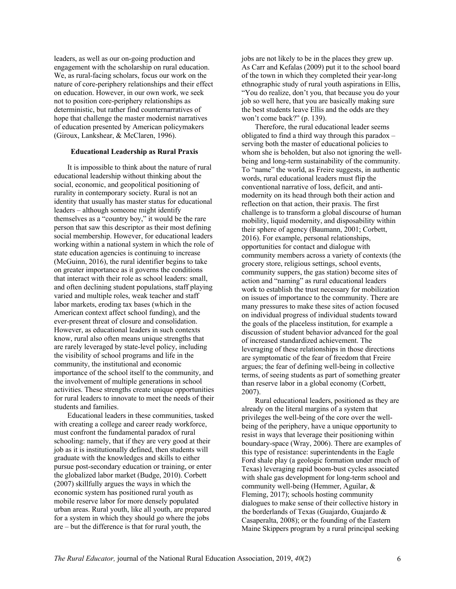leaders, as well as our on-going production and engagement with the scholarship on rural education. We, as rural-facing scholars, focus our work on the nature of core-periphery relationships and their effect on education. However, in our own work, we seek not to position core-periphery relationships as deterministic, but rather find counternarratives of hope that challenge the master modernist narratives of education presented by American policymakers (Giroux, Lankshear, & McClaren, 1996).

#### **Educational Leadership as Rural Praxis**

It is impossible to think about the nature of rural educational leadership without thinking about the social, economic, and geopolitical positioning of rurality in contemporary society. Rural is not an identity that usually has master status for educational leaders – although someone might identify themselves as a "country boy," it would be the rare person that saw this descriptor as their most defining social membership. However, for educational leaders working within a national system in which the role of state education agencies is continuing to increase (McGuinn, 2016), the rural identifier begins to take on greater importance as it governs the conditions that interact with their role as school leaders: small, and often declining student populations, staff playing varied and multiple roles, weak teacher and staff labor markets, eroding tax bases (which in the American context affect school funding), and the ever-present threat of closure and consolidation. However, as educational leaders in such contexts know, rural also often means unique strengths that are rarely leveraged by state-level policy, including the visibility of school programs and life in the community, the institutional and economic importance of the school itself to the community, and the involvement of multiple generations in school activities. These strengths create unique opportunities for rural leaders to innovate to meet the needs of their students and families.

Educational leaders in these communities, tasked with creating a college and career ready workforce, must confront the fundamental paradox of rural schooling: namely, that if they are very good at their job as it is institutionally defined, then students will graduate with the knowledges and skills to either pursue post-secondary education or training, or enter the globalized labor market (Budge, 2010). Corbett (2007) skillfully argues the ways in which the economic system has positioned rural youth as mobile reserve labor for more densely populated urban areas. Rural youth, like all youth, are prepared for a system in which they should go where the jobs are – but the difference is that for rural youth, the

jobs are not likely to be in the places they grew up. As Carr and Kefalas (2009) put it to the school board of the town in which they completed their year-long ethnographic study of rural youth aspirations in Ellis, "You do realize, don't you, that because you do your job so well here, that you are basically making sure the best students leave Ellis and the odds are they won't come back?" (p. 139).

Therefore, the rural educational leader seems obligated to find a third way through this paradox – serving both the master of educational policies to whom she is beholden, but also not ignoring the wellbeing and long-term sustainability of the community. To "name" the world, as Freire suggests, in authentic words, rural educational leaders must flip the conventional narrative of loss, deficit, and antimodernity on its head through both their action and reflection on that action, their praxis. The first challenge is to transform a global discourse of human mobility, liquid modernity, and disposability within their sphere of agency (Baumann, 2001; Corbett, 2016). For example, personal relationships, opportunities for contact and dialogue with community members across a variety of contexts (the grocery store, religious settings, school events, community suppers, the gas station) become sites of action and "naming" as rural educational leaders work to establish the trust necessary for mobilization on issues of importance to the community. There are many pressures to make these sites of action focused on individual progress of individual students toward the goals of the placeless institution, for example a discussion of student behavior advanced for the goal of increased standardized achievement. The leveraging of these relationships in those directions are symptomatic of the fear of freedom that Freire argues; the fear of defining well-being in collective terms, of seeing students as part of something greater than reserve labor in a global economy (Corbett, 2007).

Rural educational leaders, positioned as they are already on the literal margins of a system that privileges the well-being of the core over the wellbeing of the periphery, have a unique opportunity to resist in ways that leverage their positioning within boundary-space (Wray, 2006). There are examples of this type of resistance: superintendents in the Eagle Ford shale play (a geologic formation under much of Texas) leveraging rapid boom-bust cycles associated with shale gas development for long-term school and community well-being (Hemmer, Aguilar, & Fleming, 2017); schools hosting community dialogues to make sense of their collective history in the borderlands of Texas (Guajardo, Guajardo & Casaperalta, 2008); or the founding of the Eastern Maine Skippers program by a rural principal seeking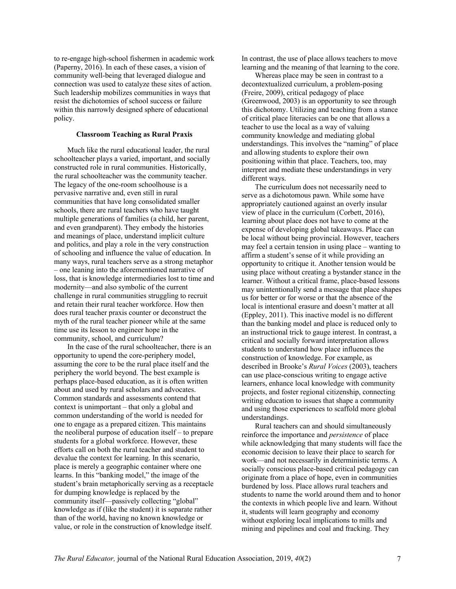to re-engage high-school fishermen in academic work (Paperny, 2016). In each of these cases, a vision of community well-being that leveraged dialogue and connection was used to catalyze these sites of action. Such leadership mobilizes communities in ways that resist the dichotomies of school success or failure within this narrowly designed sphere of educational policy.

#### **Classroom Teaching as Rural Praxis**

Much like the rural educational leader, the rural schoolteacher plays a varied, important, and socially constructed role in rural communities. Historically, the rural schoolteacher was the community teacher. The legacy of the one-room schoolhouse is a pervasive narrative and, even still in rural communities that have long consolidated smaller schools, there are rural teachers who have taught multiple generations of families (a child, her parent, and even grandparent). They embody the histories and meanings of place, understand implicit culture and politics, and play a role in the very construction of schooling and influence the value of education. In many ways, rural teachers serve as a strong metaphor – one leaning into the aforementioned narrative of loss, that is knowledge intermediaries lost to time and modernity—and also symbolic of the current challenge in rural communities struggling to recruit and retain their rural teacher workforce. How then does rural teacher praxis counter or deconstruct the myth of the rural teacher pioneer while at the same time use its lesson to engineer hope in the community, school, and curriculum?

In the case of the rural schoolteacher, there is an opportunity to upend the core-periphery model, assuming the core to be the rural place itself and the periphery the world beyond. The best example is perhaps place-based education, as it is often written about and used by rural scholars and advocates. Common standards and assessments contend that context is unimportant – that only a global and common understanding of the world is needed for one to engage as a prepared citizen. This maintains the neoliberal purpose of education itself – to prepare students for a global workforce. However, these efforts call on both the rural teacher and student to devalue the context for learning. In this scenario, place is merely a geographic container where one learns. In this "banking model," the image of the student's brain metaphorically serving as a receptacle for dumping knowledge is replaced by the community itself—passively collecting "global" knowledge as if (like the student) it is separate rather than of the world, having no known knowledge or value, or role in the construction of knowledge itself.

In contrast, the use of place allows teachers to move learning and the meaning of that learning to the core.

Whereas place may be seen in contrast to a decontextualized curriculum, a problem-posing (Freire, 2009), critical pedagogy of place (Greenwood, 2003) is an opportunity to see through this dichotomy. Utilizing and teaching from a stance of critical place literacies can be one that allows a teacher to use the local as a way of valuing community knowledge and mediating global understandings. This involves the "naming" of place and allowing students to explore their own positioning within that place. Teachers, too, may interpret and mediate these understandings in very different ways.

The curriculum does not necessarily need to serve as a dichotomous pawn. While some have appropriately cautioned against an overly insular view of place in the curriculum (Corbett, 2016), learning about place does not have to come at the expense of developing global takeaways. Place can be local without being provincial. However, teachers may feel a certain tension in using place – wanting to affirm a student's sense of it while providing an opportunity to critique it. Another tension would be using place without creating a bystander stance in the learner. Without a critical frame, place-based lessons may unintentionally send a message that place shapes us for better or for worse or that the absence of the local is intentional erasure and doesn't matter at all (Eppley, 2011). This inactive model is no different than the banking model and place is reduced only to an instructional trick to gauge interest. In contrast, a critical and socially forward interpretation allows students to understand how place influences the construction of knowledge. For example, as described in Brooke's *Rural Voices* (2003), teachers can use place-conscious writing to engage active learners, enhance local knowledge with community projects, and foster regional citizenship, connecting writing education to issues that shape a community and using those experiences to scaffold more global understandings.

Rural teachers can and should simultaneously reinforce the importance and *persistence* of place while acknowledging that many students will face the economic decision to leave their place to search for work—and not necessarily in deterministic terms. A socially conscious place-based critical pedagogy can originate from a place of hope, even in communities burdened by loss. Place allows rural teachers and students to name the world around them and to honor the contexts in which people live and learn. Without it, students will learn geography and economy without exploring local implications to mills and mining and pipelines and coal and fracking. They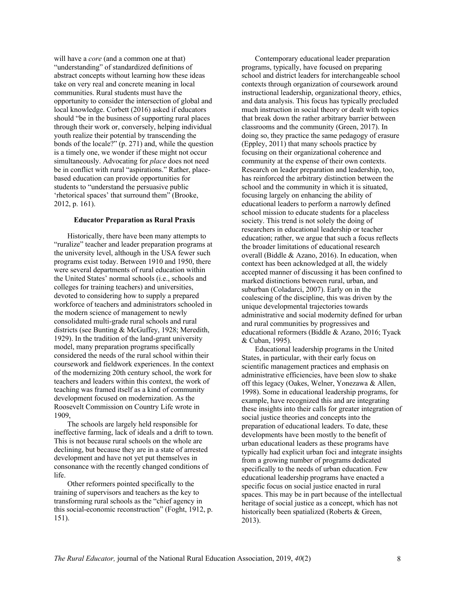will have a *core* (and a common one at that) "understanding" of standardized definitions of abstract concepts without learning how these ideas take on very real and concrete meaning in local communities. Rural students must have the opportunity to consider the intersection of global and local knowledge. Corbett (2016) asked if educators should "be in the business of supporting rural places through their work or, conversely, helping individual youth realize their potential by transcending the bonds of the locale?" (p. 271) and, while the question is a timely one, we wonder if these might not occur simultaneously. Advocating for *place* does not need be in conflict with rural "aspirations." Rather, placebased education can provide opportunities for students to "understand the persuasive public 'rhetorical spaces' that surround them" (Brooke, 2012, p. 161).

#### **Educator Preparation as Rural Praxis**

Historically, there have been many attempts to "ruralize" teacher and leader preparation programs at the university level, although in the USA fewer such programs exist today. Between 1910 and 1950, there were several departments of rural education within the United States' normal schools (i.e., schools and colleges for training teachers) and universities, devoted to considering how to supply a prepared workforce of teachers and administrators schooled in the modern science of management to newly consolidated multi-grade rural schools and rural districts (see Bunting & McGuffey, 1928; Meredith, 1929). In the tradition of the land-grant university model, many preparation programs specifically considered the needs of the rural school within their coursework and fieldwork experiences. In the context of the modernizing 20th century school, the work for teachers and leaders within this context, the work of teaching was framed itself as a kind of community development focused on modernization. As the Roosevelt Commission on Country Life wrote in 1909,

The schools are largely held responsible for ineffective farming, lack of ideals and a drift to town. This is not because rural schools on the whole are declining, but because they are in a state of arrested development and have not yet put themselves in consonance with the recently changed conditions of life.

Other reformers pointed specifically to the training of supervisors and teachers as the key to transforming rural schools as the "chief agency in this social-economic reconstruction" (Foght, 1912, p. 151).

Contemporary educational leader preparation programs, typically, have focused on preparing school and district leaders for interchangeable school contexts through organization of coursework around instructional leadership, organizational theory, ethics, and data analysis. This focus has typically precluded much instruction in social theory or dealt with topics that break down the rather arbitrary barrier between classrooms and the community (Green, 2017). In doing so, they practice the same pedagogy of erasure (Eppley, 2011) that many schools practice by focusing on their organizational coherence and community at the expense of their own contexts. Research on leader preparation and leadership, too, has reinforced the arbitrary distinction between the school and the community in which it is situated, focusing largely on enhancing the ability of educational leaders to perform a narrowly defined school mission to educate students for a placeless society. This trend is not solely the doing of researchers in educational leadership or teacher education; rather, we argue that such a focus reflects the broader limitations of educational research overall (Biddle & Azano, 2016). In education, when context has been acknowledged at all, the widely accepted manner of discussing it has been confined to marked distinctions between rural, urban, and suburban (Coladarci, 2007). Early on in the coalescing of the discipline, this was driven by the unique developmental trajectories towards administrative and social modernity defined for urban and rural communities by progressives and educational reformers (Biddle & Azano, 2016; Tyack & Cuban, 1995).

Educational leadership programs in the United States, in particular, with their early focus on scientific management practices and emphasis on administrative efficiencies, have been slow to shake off this legacy (Oakes, Welner, Yonezawa & Allen, 1998). Some in educational leadership programs, for example, have recognized this and are integrating these insights into their calls for greater integration of social justice theories and concepts into the preparation of educational leaders. To date, these developments have been mostly to the benefit of urban educational leaders as these programs have typically had explicit urban foci and integrate insights from a growing number of programs dedicated specifically to the needs of urban education. Few educational leadership programs have enacted a specific focus on social justice enacted in rural spaces. This may be in part because of the intellectual heritage of social justice as a concept, which has not historically been spatialized (Roberts & Green, 2013).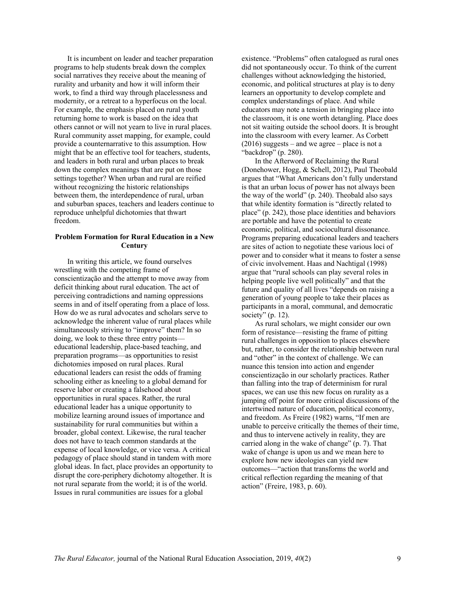It is incumbent on leader and teacher preparation programs to help students break down the complex social narratives they receive about the meaning of rurality and urbanity and how it will inform their work, to find a third way through placelessness and modernity, or a retreat to a hyperfocus on the local. For example, the emphasis placed on rural youth returning home to work is based on the idea that others cannot or will not yearn to live in rural places. Rural community asset mapping, for example, could provide a counternarrative to this assumption. How might that be an effective tool for teachers, students, and leaders in both rural and urban places to break down the complex meanings that are put on those settings together? When urban and rural are reified without recognizing the historic relationships between them, the interdependence of rural, urban and suburban spaces, teachers and leaders continue to reproduce unhelpful dichotomies that thwart freedom.

## **Problem Formation for Rural Education in a New Century**

In writing this article, we found ourselves wrestling with the competing frame of conscientização and the attempt to move away from deficit thinking about rural education. The act of perceiving contradictions and naming oppressions seems in and of itself operating from a place of loss. How do we as rural advocates and scholars serve to acknowledge the inherent value of rural places while simultaneously striving to "improve" them? In so doing, we look to these three entry points educational leadership, place-based teaching, and preparation programs—as opportunities to resist dichotomies imposed on rural places. Rural educational leaders can resist the odds of framing schooling either as kneeling to a global demand for reserve labor or creating a falsehood about opportunities in rural spaces. Rather, the rural educational leader has a unique opportunity to mobilize learning around issues of importance and sustainability for rural communities but within a broader, global context. Likewise, the rural teacher does not have to teach common standards at the expense of local knowledge, or vice versa. A critical pedagogy of place should stand in tandem with more global ideas. In fact, place provides an opportunity to disrupt the core-periphery dichotomy altogether. It is not rural separate from the world; it is of the world. Issues in rural communities are issues for a global

existence. "Problems" often catalogued as rural ones did not spontaneously occur. To think of the current challenges without acknowledging the historied, economic, and political structures at play is to deny learners an opportunity to develop complete and complex understandings of place. And while educators may note a tension in bringing place into the classroom, it is one worth detangling. Place does not sit waiting outside the school doors. It is brought into the classroom with every learner. As Corbett  $(2016)$  suggests – and we agree – place is not a "backdrop" (p. 280).

In the Afterword of Reclaiming the Rural (Donehower, Hogg, & Schell, 2012), Paul Theobald argues that "What Americans don't fully understand is that an urban locus of power has not always been the way of the world" (p. 240). Theobald also says that while identity formation is "directly related to place" (p. 242), those place identities and behaviors are portable and have the potential to create economic, political, and sociocultural dissonance. Programs preparing educational leaders and teachers are sites of action to negotiate these various loci of power and to consider what it means to foster a sense of civic involvement. Haas and Nachtigal (1998) argue that "rural schools can play several roles in helping people live well politically" and that the future and quality of all lives "depends on raising a generation of young people to take their places as participants in a moral, communal, and democratic society" (p. 12).

As rural scholars, we might consider our own form of resistance—resisting the frame of pitting rural challenges in opposition to places elsewhere but, rather, to consider the relationship between rural and "other" in the context of challenge. We can nuance this tension into action and engender conscientização in our scholarly practices. Rather than falling into the trap of determinism for rural spaces, we can use this new focus on rurality as a jumping off point for more critical discussions of the intertwined nature of education, political economy, and freedom. As Freire (1982) warns, "If men are unable to perceive critically the themes of their time, and thus to intervene actively in reality, they are carried along in the wake of change" (p. 7). That wake of change is upon us and we mean here to explore how new ideologies can yield new outcomes—"action that transforms the world and critical reflection regarding the meaning of that action" (Freire, 1983, p. 60).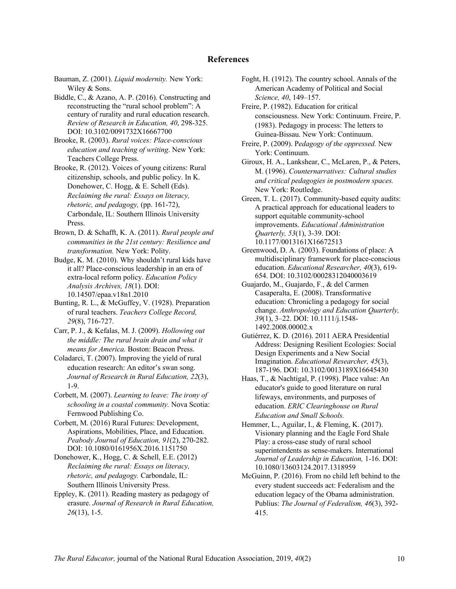## **References**

Bauman, Z. (2001). *Liquid modernity.* New York: Wiley & Sons.

Biddle, C., & Azano, A. P. (2016). Constructing and reconstructing the "rural school problem": A century of rurality and rural education research. *Review of Research in Education, 40*, 298-325. DOI: 10.3102/0091732X16667700

Brooke, R. (2003). *Rural voices: Place-conscious education and teaching of writing*. New York: Teachers College Press.

Brooke, R. (2012). Voices of young citizens: Rural citizenship, schools, and public policy. In K. Donehower, C. Hogg, & E. Schell (Eds). *Reclaiming the rural: Essays on literacy, rhetoric, and pedagogy,* (pp. 161-72), Carbondale, IL: Southern Illinois University Press.

Brown, D. & Schafft, K. A. (2011). *Rural people and communities in the 21st century: Resilience and transformation.* New York: Polity.

Budge, K. M. (2010). Why shouldn't rural kids have it all? Place-conscious leadership in an era of extra-local reform policy. *Education Policy Analysis Archives, 18*(1). DOI: 10.14507/epaa.v18n1.2010

Bunting, R. L., & McGuffey, V. (1928). Preparation of rural teachers. *Teachers College Record, 29*(8), 716-727.

Carr, P. J., & Kefalas, M. J. (2009). *Hollowing out the middle: The rural brain drain and what it means for America.* Boston: Beacon Press.

Coladarci, T. (2007). Improving the yield of rural education research: An editor's swan song. *Journal of Research in Rural Education, 22*(3), 1-9.

Corbett, M. (2007). *Learning to leave: The irony of schooling in a coastal community.* Nova Scotia: Fernwood Publishing Co.

Corbett, M. (2016) Rural Futures: Development, Aspirations, Mobilities, Place, and Education. *Peabody Journal of Education, 91*(2), 270-282. DOI: 10.1080/0161956X.2016.1151750

Donehower, K., Hogg, C. & Schell, E.E. (2012) *Reclaiming the rural: Essays on literacy, rhetoric, and pedagogy.* Carbondale, IL: Southern Illinois University Press.

Eppley, K. (2011). Reading mastery as pedagogy of erasure. *Journal of Research in Rural Education, 26*(13), 1-5.

Foght, H. (1912). The country school. Annals of the American Academy of Political and Social *Science, 40*, 149–157.

Freire, P. (1982). Education for critical consciousness. New York: Continuum. Freire, P. (1983). Pedagogy in process: The letters to Guinea-Bissau. New York: Continuum.

Freire, P. (2009). P*edagogy of the oppressed.* New York: Continuum.

Giroux, H. A., Lankshear, C., McLaren, P., & Peters, M. (1996). *Counternarratives: Cultural studies and critical pedagogies in postmodern spaces.* New York: Routledge.

Green, T. L. (2017). Community-based equity audits: A practical approach for educational leaders to support equitable community-school improvements. *Educational Administration Quarterly, 53*(1), 3-39. DOI: 10.1177/0013161X16672513

Greenwood, D. A. (2003). Foundations of place: A multidisciplinary framework for place-conscious education. *Educational Researcher, 40*(3), 619- 654. DOI: 10.3102/00028312040003619

Guajardo, M., Guajardo, F., & del Carmen Casaperalta, E. (2008). Transformative education: Chronicling a pedagogy for social change. *Anthropology and Education Quarterly, 39*(1), 3–22. DOI: 10.1111/j.1548- 1492.2008.00002.x

Gutiérrez, K. D. (2016). 2011 AERA Presidential Address: Designing Resilient Ecologies: Social Design Experiments and a New Social Imagination. *Educational Researcher, 45*(3), 187-196. DOI: 10.3102/0013189X16645430

Haas, T., & Nachtigal, P. (1998). Place value: An educator's guide to good literature on rural lifeways, environments, and purposes of education. *ERIC Clearinghouse on Rural Education and Small Schools.*

Hemmer, L., Aguilar, I., & Fleming, K. (2017). Visionary planning and the Eagle Ford Shale Play: a cross-case study of rural school superintendents as sense-makers. International *Journal of Leadership in Education,* 1-16. DOI: 10.1080/13603124.2017.1318959

McGuinn, P. (2016). From no child left behind to the every student succeeds act: Federalism and the education legacy of the Obama administration. Publius: *The Journal of Federalism, 46*(3), 392- 415.